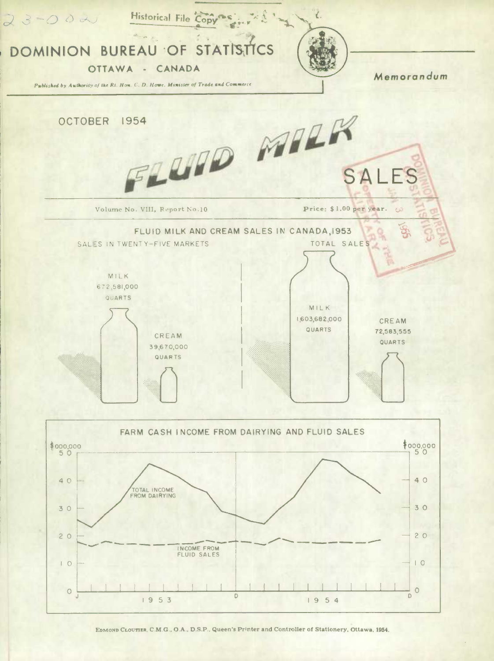

EDMOND CLOUTIER, C.M.G., O.A., D.S.P., Queen's Printer and Controller of Stationery, Ottawa, 1954.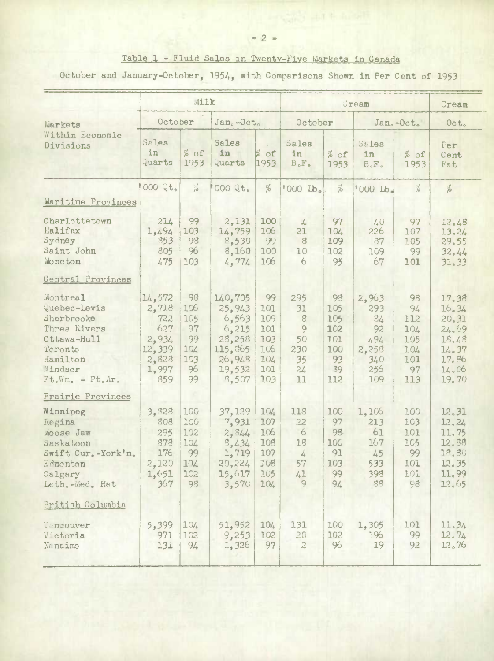## Table 1 - Fluid Sales in Twenty-Five Markets in Canada

October and January-October, 1954, with Comparisons Shown in Per Cent of 1953

|                                                                                                                                                               | Milk                                                                      |                                                        |                                                                                        |                                                            | Cream                                                         |                                                          |                                                                |                                                          | Cream                                                                         |
|---------------------------------------------------------------------------------------------------------------------------------------------------------------|---------------------------------------------------------------------------|--------------------------------------------------------|----------------------------------------------------------------------------------------|------------------------------------------------------------|---------------------------------------------------------------|----------------------------------------------------------|----------------------------------------------------------------|----------------------------------------------------------|-------------------------------------------------------------------------------|
| Markets<br>Within Economic<br>Divisions                                                                                                                       | October                                                                   |                                                        | Jan. Oct.                                                                              |                                                            | October                                                       |                                                          | Jan.-Oct.                                                      |                                                          | Oct.                                                                          |
|                                                                                                                                                               | Sales<br>in<br>Quarts                                                     | $%$ of<br>1953                                         | Sales<br>in<br>Quarts                                                                  | % of<br>1953                                               | Sales<br>in<br>$B \cdot F$ .                                  | $%$ of<br>1953                                           | $St$ les<br><b>in</b><br>$B \circ F \circ$                     | $%$ of<br>1953                                           | Fer<br>Cent<br>Fat                                                            |
|                                                                                                                                                               | 000 Qt.                                                                   | $\frac{c_1^*}{\sqrt{2}}$                               | 000 Qt.                                                                                | $\%$                                                       | '000 Lb.                                                      | %                                                        | '000 Lb.                                                       | $\frac{c}{\sqrt{6}}$                                     | %                                                                             |
| Maritime Provinces                                                                                                                                            |                                                                           |                                                        |                                                                                        |                                                            |                                                               |                                                          |                                                                |                                                          |                                                                               |
| Charlottetown<br>Halifax<br>Sydney<br>Saint John<br>Moncton<br>Central Provinces                                                                              | 214<br>1,494<br>853<br>805<br>475                                         | 99<br>103<br>98<br>96<br>103                           | 2,131<br>14,759<br>8,530<br>3,160<br>4,774                                             | 100<br>106<br>99<br>100<br>106                             | 4<br>21<br>8<br>10<br>6                                       | 97<br>104<br>109<br>102<br>95                            | $40 - 72$<br>226<br>87<br>109<br>67                            | 97<br>107<br>105<br>99<br>101                            | 12,48<br>13.24<br>29.55<br>32.44<br>31, 33                                    |
| Montreal<br><i><u><b>Quebec-Levis</b></u></i><br>Sherbrooke<br>Three Rivers<br>Ottawa-Hull<br>Teronto<br>Hamilton<br>Windsor<br>$Ft_{o}Wm_{o} - Pt_{o}Ar_{o}$ | 14,572<br>2,718<br>722<br>627<br>2,934<br>12,339<br>2,828<br>1,997<br>859 | 98<br>106<br>105<br>97<br>99<br>104<br>103<br>96<br>99 | 140,705<br>25, 943<br>6,563<br>6,215<br>28,258<br>115,865<br>26,948<br>19,532<br>8,507 | 99<br>101<br>109<br>101<br>103<br>106<br>104<br>101<br>103 | 295<br>31<br>$\mathbf{8}$<br>9<br>50<br>230<br>35<br>24<br>11 | 98<br>105<br>105<br>102<br>101<br>100<br>93<br>39<br>112 | 2,963<br>293<br>34<br>92<br>1.94<br>2,258<br>340<br>256<br>109 | 98<br>94<br>112<br>104<br>105<br>104<br>101<br>97<br>113 | 17.38<br>16.34<br>20.31<br>24.69<br>18,48<br>14.37<br>17.86<br>14.06<br>19.70 |
| Prairie Provinces<br>Winnipeg<br>Regina<br>Moose Jaw<br>Saskatoon<br>Swift Cur.-York'n.<br>Edmonton<br>Calgary<br>Leth, -Wed, Hat                             | 3,828<br>308<br>295<br>878<br>176<br>2,120<br>1,651<br>367                | 100<br>100<br>102<br>104<br>99<br>104<br>102<br>98     | 37, 129<br>7,931<br>2, 344<br>8,434<br>1,719<br>20,224<br>15,617<br>3,570              | 104<br>107<br>106<br>108<br>107<br>108<br>105<br>104       | 118<br>22<br>6<br>18<br>$\tilde{A}$<br>57<br>41<br>9          | 100<br>97<br>98<br>100<br>91<br>103<br>99<br>94          | 1,106<br>213<br>61<br>167<br>45<br>533<br>398<br>38            | 100<br>103<br>101<br>105<br>99<br>101<br>101<br>98       | 12.31<br>12.24<br>11.75<br>12,88<br>18.30<br>12.35<br>11.99<br>12.65          |
| British Columbia<br>Vancouver<br>Victoria<br>Na naimo                                                                                                         | 5,399<br>971<br>131                                                       | 104<br>102<br>94                                       | 51,952<br>9,253<br>1,326                                                               | 104<br>102<br>97                                           | 131<br>20<br>$\overline{c}$                                   | 100<br>102<br>96                                         | 1,305<br>196<br>19                                             | 101<br>99<br>92                                          | 11.34<br>12, 74<br>12,76                                                      |

 $-2-$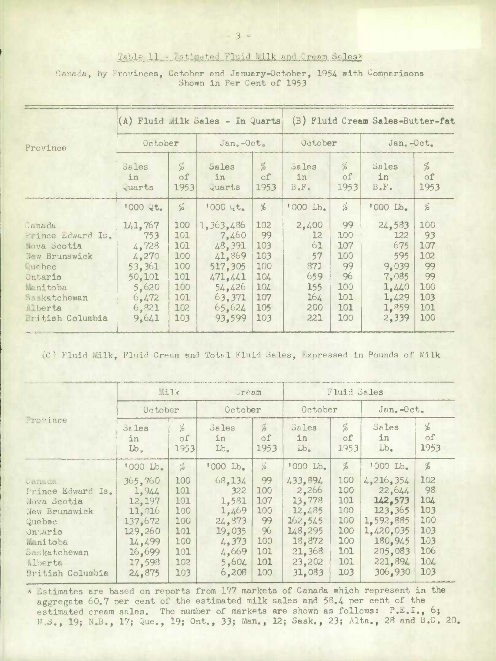## Table 11 - Estimated Fluid Lilk and Cream Sales\*

## Canada, by Provinces, October and January-October, 1954 with Comparisons Shown in Per Cent of 1953

|                                                                                                                                             |                                                                                          | (A) Fluid Milk Sales - In Quarts                                   |                                                                                                       | (B) Fluid Cream Sales-Butter-fat                                  |                                                                        |                                                                 |                                                                                   |                                                                 |
|---------------------------------------------------------------------------------------------------------------------------------------------|------------------------------------------------------------------------------------------|--------------------------------------------------------------------|-------------------------------------------------------------------------------------------------------|-------------------------------------------------------------------|------------------------------------------------------------------------|-----------------------------------------------------------------|-----------------------------------------------------------------------------------|-----------------------------------------------------------------|
| Province                                                                                                                                    | October                                                                                  |                                                                    | $Jan_{2}-Oct_{2}$                                                                                     |                                                                   | October                                                                |                                                                 | Jan.-Oct.                                                                         |                                                                 |
|                                                                                                                                             | $58$ les<br>in<br>tuarts                                                                 | $\%$<br>$\circ$ f<br>1953                                          | Sales<br>in<br>Quarts                                                                                 | $\%$<br>$\circ$ f<br>1953                                         | Sales<br>in<br>$B \cdot F \cdot$                                       | %<br>of<br>1953                                                 | Sales<br>in<br>$B_{\bullet}F_{\bullet}$                                           | $\frac{d}{b}$<br>of<br>1953                                     |
|                                                                                                                                             | 1000 Qt.                                                                                 | $\frac{c'}{\rho^2}$                                                | 1000 Qt.                                                                                              | $\%$                                                              | $'000$ $Lb$ .                                                          | $\frac{c_2}{25}$                                                | '000 Lb.                                                                          | $\%$                                                            |
| Canada<br>Prince Edward Is.<br>Nova Scotia<br>New Brunswick<br>Quebec<br>Ontario<br>Manitoba<br>Saskatchewan<br>Alberta<br>British Columbia | 141,767<br>753<br>4.728<br>4.270<br>53,361<br>50,101<br>5,620<br>6,472<br>6,821<br>9,641 | 100<br>101<br>101<br>100<br>100<br>101<br>100<br>101<br>102<br>103 | 1,363,486<br>7,460<br>48,391<br>41,869<br>517,305<br>471, 441<br>54,426<br>63,371<br>65,624<br>93,599 | 102<br>99<br>103<br>103<br>100<br>104<br>104<br>107<br>105<br>103 | 2,400<br>$12 \,$<br>61<br>57<br>371<br>659<br>155<br>164<br>200<br>221 | 99<br>100<br>107<br>100<br>99<br>96<br>100<br>101<br>101<br>100 | 24,583<br>122<br>675<br>595<br>9.039<br>7,085<br>1,440<br>1,429<br>1,859<br>2,339 | 100<br>93<br>107<br>102<br>99<br>99<br>100<br>103<br>101<br>100 |

(C) Fluid Milk, Fluid Cream and Total Fluid Sales, Expressed in Pounds of Milk

| Province                                                                                                                                                  | <b>Milk</b>                                                                                         |                                                                    | Gream                                                                                   |                                                                 | Fluid Sales                                                                                         |                                                                    |                                                                                                                 |                                                                   |
|-----------------------------------------------------------------------------------------------------------------------------------------------------------|-----------------------------------------------------------------------------------------------------|--------------------------------------------------------------------|-----------------------------------------------------------------------------------------|-----------------------------------------------------------------|-----------------------------------------------------------------------------------------------------|--------------------------------------------------------------------|-----------------------------------------------------------------------------------------------------------------|-------------------------------------------------------------------|
|                                                                                                                                                           | October                                                                                             |                                                                    | October                                                                                 |                                                                 | October                                                                                             |                                                                    | Jan. -Oct.                                                                                                      |                                                                   |
|                                                                                                                                                           | $50$ les<br>in<br>Lb <sub>o</sub>                                                                   | $\frac{d}{d}$<br>οf<br>1953                                        | Sales<br>in<br>$Lb_{\bullet}$                                                           | $\frac{d}{\rho}$<br>οf<br>1953                                  | Sales<br>in<br>$Lb_{\bullet}$                                                                       | $\%$<br>$\circ$ f<br>1953                                          | Sales<br>in<br>$Lb$ .                                                                                           | $\frac{d}{d}$<br>οf<br>1953                                       |
|                                                                                                                                                           | '000 Lb.                                                                                            | $\frac{c}{r^3}$                                                    | '000 Lb.                                                                                | $\frac{d}{d}$                                                   | '000 Lb.                                                                                            | $\frac{d}{d}$                                                      | '000 Lb.                                                                                                        | $\frac{d}{d}$                                                     |
| URBERT<br>Prince Edward Is.<br>Nova Scotia<br>New Brunswick<br>Quebec<br>Ontario<br><b>Manitoba</b><br>Saskatchewan<br>Alberta<br><b>British Columbia</b> | 365,760<br>1, 944<br>12,197<br>11,016<br>137,672<br>129,260<br>14,499<br>16,699<br>17.598<br>24,875 | 100<br>101<br>101<br>100<br>100<br>101<br>100<br>101<br>102<br>103 | 68,134<br>322<br>1,581<br>1,469<br>24,873<br>19,035<br>4.373<br>4,669<br>5,604<br>6,208 | 99<br>100<br>107<br>100<br>99<br>96<br>100<br>101<br>101<br>100 | 433,894<br>2,266<br>13,778<br>12,485<br>162, 545<br>148,295<br>18,872<br>21,368<br>23,202<br>31,083 | 100<br>100<br>101<br>100<br>100<br>100<br>100<br>101<br>101<br>103 | 4,216,354<br>22,644<br>142.573<br>123,365<br>1,592,885<br>1,420,035<br>180.945<br>205,083<br>221,894<br>306,930 | 102<br>98<br>104<br>103<br>100<br>103<br>103<br>106<br>104<br>103 |

\* Estimates are based on reports from 177 markets of Canada which represent in the aggregate 60.7 per cent of the estimated milk sales and 58.4 per cent of the estimated cream sales. The number of markets are shown as follows: P.E.I., 6; N.S., 19; N.B., 17; Que., 19; Ont., 33; Man., 12; Sask., 23; Alta., 28 and B.C. 20.